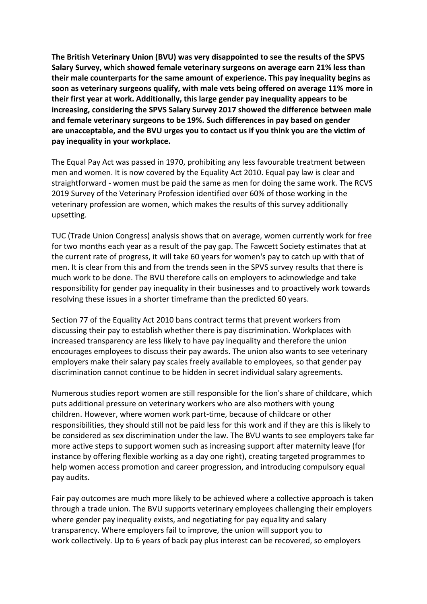**The British Veterinary Union (BVU) was very disappointed to see the results of the SPVS Salary Survey, which showed female veterinary surgeons on average earn 21% less than their male counterparts for the same amount of experience. This pay inequality begins as soon as veterinary surgeons qualify, with male vets being offered on average 11% more in their first year at work. Additionally, this large gender pay inequality appears to be increasing, considering the SPVS Salary Survey 2017 showed the difference between male and female veterinary surgeons to be 19%. Such differences in pay based on gender are unacceptable, and the BVU urges you to contact us if you think you are the victim of pay inequality in your workplace.**

The Equal Pay Act was passed in 1970, prohibiting any less favourable treatment between men and women. It is now covered by the Equality Act 2010. Equal pay law is clear and straightforward - women must be paid the same as men for doing the same work. The RCVS 2019 Survey of the Veterinary Profession identified over 60% of those working in the veterinary profession are women, which makes the results of this survey additionally upsetting.

TUC (Trade Union Congress) analysis shows that on average, women currently work for free for two months each year as a result of the pay gap. The Fawcett Society estimates that at the current rate of progress, it will take 60 years for women's pay to catch up with that of men. It is clear from this and from the trends seen in the SPVS survey results that there is much work to be done. The BVU therefore calls on employers to acknowledge and take responsibility for gender pay inequality in their businesses and to proactively work towards resolving these issues in a shorter timeframe than the predicted 60 years.

Section 77 of the Equality Act 2010 bans contract terms that prevent workers from discussing their pay to establish whether there is pay discrimination. Workplaces with increased transparency are less likely to have pay inequality and therefore the union encourages employees to discuss their pay awards. The union also wants to see veterinary employers make their salary pay scales freely available to employees, so that gender pay discrimination cannot continue to be hidden in secret individual salary agreements.

Numerous studies report women are still responsible for the lion's share of childcare, which puts additional pressure on veterinary workers who are also mothers with young children. However, where women work part-time, because of childcare or other responsibilities, they should still not be paid less for this work and if they are this is likely to be considered as sex discrimination under the law. The BVU wants to see employers take far more active steps to support women such as increasing support after maternity leave (for instance by offering flexible working as a day one right), creating targeted programmes to help women access promotion and career progression, and introducing compulsory equal pay audits.

Fair pay outcomes are much more likely to be achieved where a collective approach is taken through a trade union. The BVU supports veterinary employees challenging their employers where gender pay inequality exists, and negotiating for pay equality and salary transparency. Where employers fail to improve, the union will support you to work collectively. Up to 6 years of back pay plus interest can be recovered, so employers